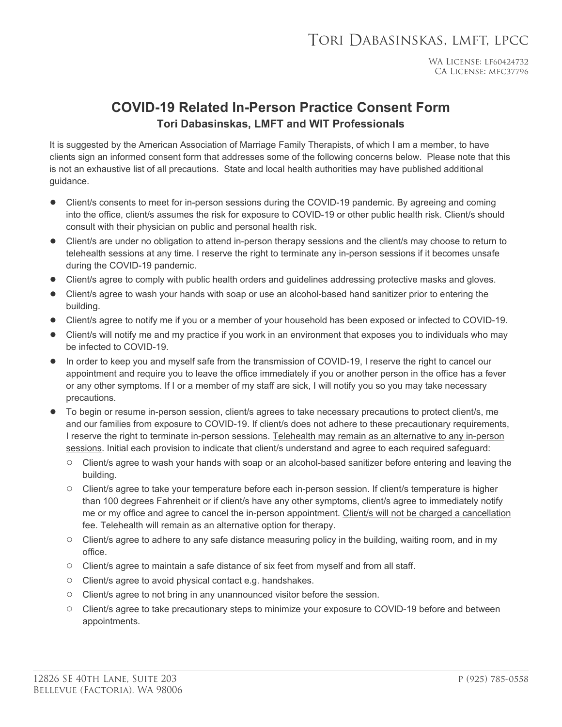## **COVID-19 Related In-Person Practice Consent Form Tori Dabasinskas, LMFT and WIT Professionals**

It is suggested by the American Association of Marriage Family Therapists, of which I am a member, to have clients sign an informed consent form that addresses some of the following concerns below. Please note that this is not an exhaustive list of all precautions. State and local health authorities may have published additional guidance.

- Client/s consents to meet for in-person sessions during the COVID-19 pandemic. By agreeing and coming into the office, client/s assumes the risk for exposure to COVID-19 or other public health risk. Client/s should consult with their physician on public and personal health risk.
- Client/s are under no obligation to attend in-person therapy sessions and the client/s may choose to return to telehealth sessions at any time. I reserve the right to terminate any in-person sessions if it becomes unsafe during the COVID-19 pandemic.
- Client/s agree to comply with public health orders and guidelines addressing protective masks and gloves.
- Client/s agree to wash your hands with soap or use an alcohol-based hand sanitizer prior to entering the building.
- Client/s agree to notify me if you or a member of your household has been exposed or infected to COVID-19.
- Client/s will notify me and my practice if you work in an environment that exposes you to individuals who may be infected to COVID-19.
- In order to keep you and myself safe from the transmission of COVID-19, I reserve the right to cancel our appointment and require you to leave the office immediately if you or another person in the office has a fever or any other symptoms. If I or a member of my staff are sick, I will notify you so you may take necessary precautions.
- To begin or resume in-person session, client/s agrees to take necessary precautions to protect client/s, me and our families from exposure to COVID-19. If client/s does not adhere to these precautionary requirements, I reserve the right to terminate in-person sessions. Telehealth may remain as an alternative to any in-person sessions. Initial each provision to indicate that client/s understand and agree to each required safeguard:
	- Client/s agree to wash your hands with soap or an alcohol-based sanitizer before entering and leaving the building.
	- Client/s agree to take your temperature before each in-person session. If client/s temperature is higher than 100 degrees Fahrenheit or if client/s have any other symptoms, client/s agree to immediately notify me or my office and agree to cancel the in-person appointment. Client/s will not be charged a cancellation fee. Telehealth will remain as an alternative option for therapy.
	- Client/s agree to adhere to any safe distance measuring policy in the building, waiting room, and in my office.
	- Client/s agree to maintain a safe distance of six feet from myself and from all staff.
	- Client/s agree to avoid physical contact e.g. handshakes.
	- Client/s agree to not bring in any unannounced visitor before the session.
	- Client/s agree to take precautionary steps to minimize your exposure to COVID-19 before and between appointments.